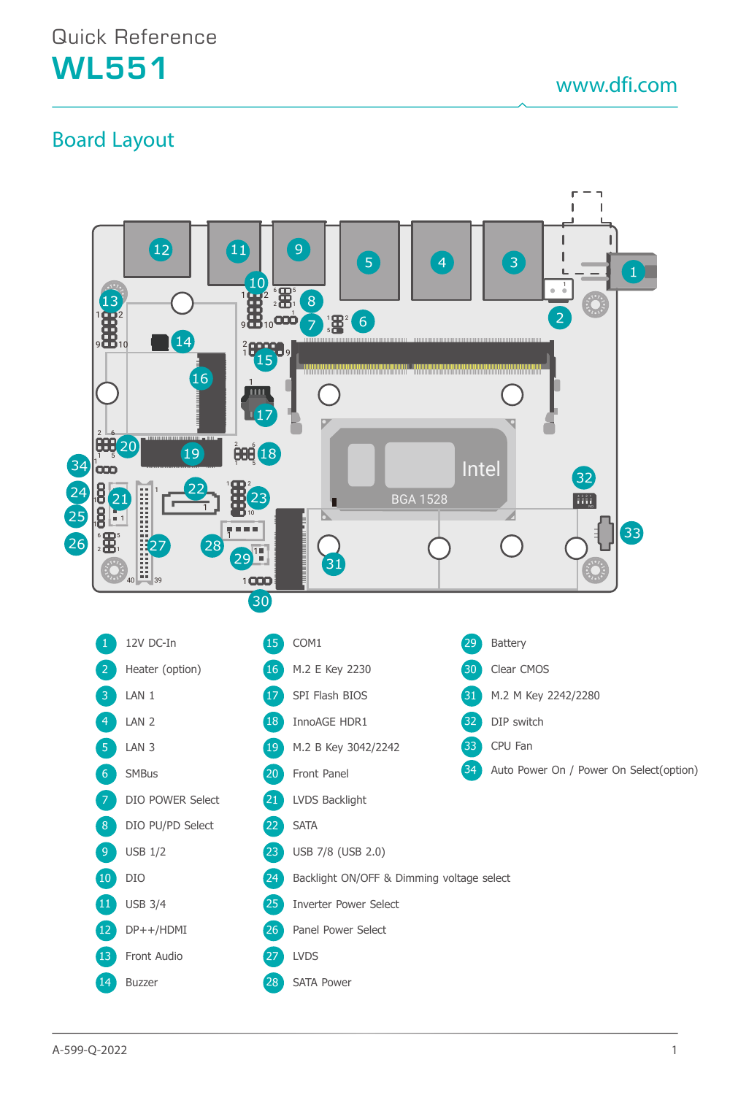www.dfi.com

## Board Layout

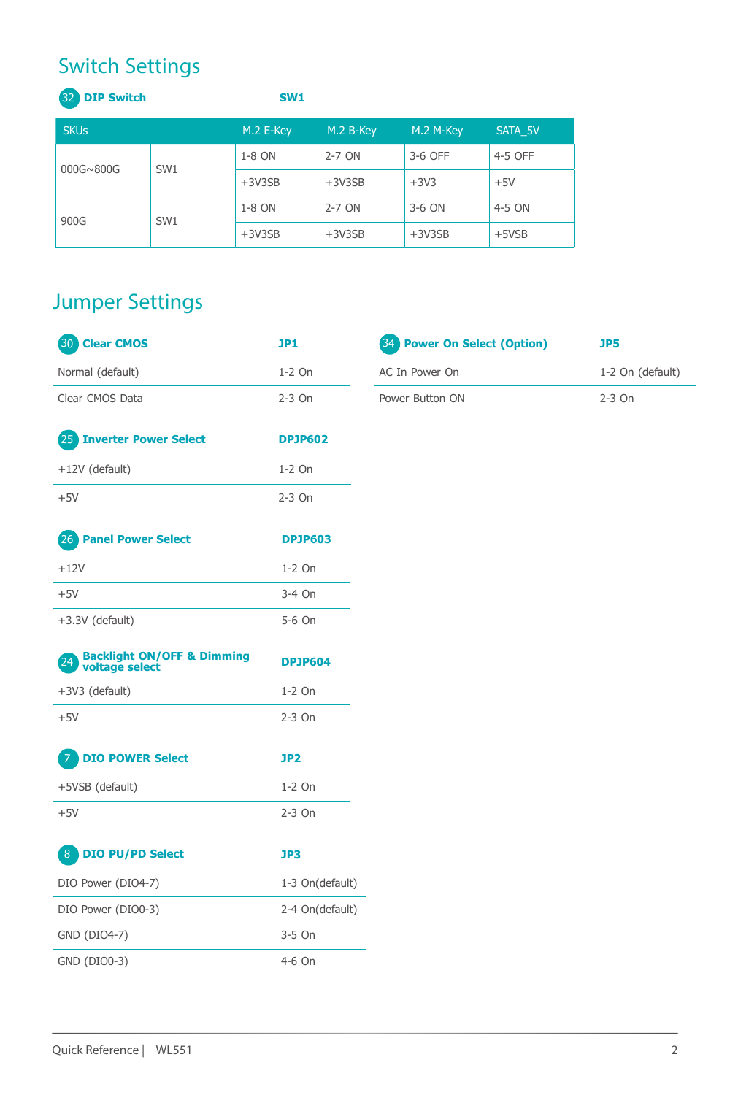# Switch Settings

| <b>32 DIP Switch</b> |                 | SW <sub>1</sub>    |                    |           |         |
|----------------------|-----------------|--------------------|--------------------|-----------|---------|
| <b>SKUs</b>          |                 | M.2 E-Key          | M.2 B-Key          | M.2 M-Key | SATA 5V |
| 000G~800G            | SW1             | 1-8 ON             | $2-7$ ON           | 3-6 OFF   | 4-5 OFF |
|                      |                 | $+3V3SB$           | $+3V3SB$<br>$+3V3$ |           | $+5V$   |
| 900G                 | SW <sub>1</sub> | 1-8 ON<br>$2-7$ ON |                    | 3-6 ON    | 4-5 ON  |
|                      |                 | $+3V3SB$           | $+3V3SB$           | $+3V3SB$  | $+5VSB$ |

# Jumper Settings

| <b>Clear CMOS</b><br>(30)                                       | JP1             | <b>Power On Select (Option)</b><br>34 | JP5              |
|-----------------------------------------------------------------|-----------------|---------------------------------------|------------------|
| Normal (default)                                                | $1-2$ On        | AC In Power On                        | 1-2 On (default) |
| Clear CMOS Data                                                 | $2-3$ On        | Power Button ON                       | $2-3$ On         |
| 25 Inverter Power Select                                        | <b>DPJP602</b>  |                                       |                  |
| +12V (default)                                                  | $1-2$ On        |                                       |                  |
| $+5V$                                                           | $2-3$ On        |                                       |                  |
| (26)<br><b>Panel Power Select</b>                               | <b>DPJP603</b>  |                                       |                  |
| $+12V$                                                          | 1-2 On          |                                       |                  |
| $+5V$                                                           | 3-4 On          |                                       |                  |
| +3.3V (default)                                                 | 5-6 On          |                                       |                  |
| <b>Backlight ON/OFF &amp; Dimming</b><br>(24)<br>voltage select | <b>DPJP604</b>  |                                       |                  |
| +3V3 (default)                                                  | 1-2 On          |                                       |                  |
| $+5V$                                                           | $2-3$ On        |                                       |                  |
| <b>DIO POWER Select</b><br>7                                    | JP <sub>2</sub> |                                       |                  |
| +5VSB (default)                                                 | $1-2$ On        |                                       |                  |
| $+5V$                                                           | $2-3$ On        |                                       |                  |
| <b>DIO PU/PD Select</b><br>$\left( 8 \right)$                   | JP3             |                                       |                  |
| DIO Power (DIO4-7)                                              | 1-3 On(default) |                                       |                  |
| DIO Power (DIO0-3)                                              | 2-4 On(default) |                                       |                  |
| GND (DIO4-7)                                                    | 3-5 On          |                                       |                  |
| GND (DIO0-3)                                                    | 4-6 On          |                                       |                  |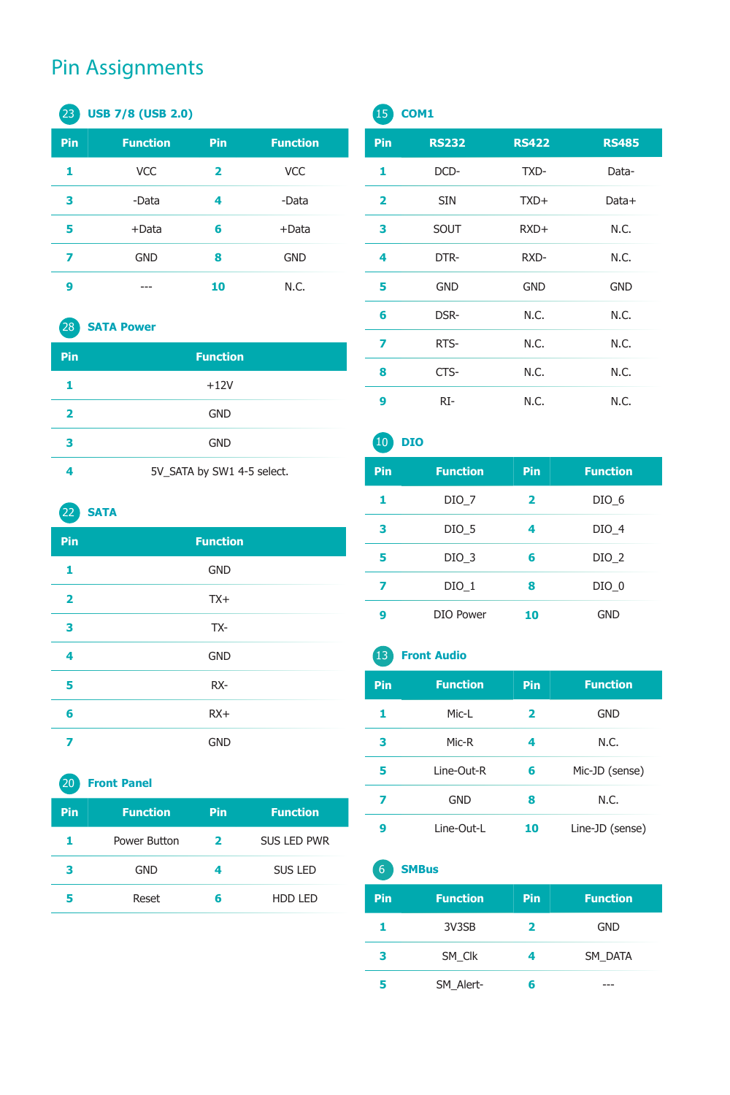## Pin Assignments

### **USB 7/8 (USB 2.0)**

| Pin | <b>Function</b> | Pin | <b>Function</b> |
|-----|-----------------|-----|-----------------|
|     | <b>VCC</b>      | 2   | <b>VCC</b>      |
| з   | -Data           | 4   | -Data           |
| 5   | +Data           | 6   | $+$ Data        |
| 7   | <b>GND</b>      | 8   | <b>GND</b>      |
| g   |                 | 10  | N.C.            |

### **SATA Power**

| Pin | <b>Function</b>            |
|-----|----------------------------|
|     | $+12V$                     |
| 2   | <b>GND</b>                 |
| 3   | <b>GND</b>                 |
| 4   | 5V_SATA by SW1 4-5 select. |

## **SATA**

| Pin                     | <b>Function</b> |  |
|-------------------------|-----------------|--|
| 1                       | <b>GND</b>      |  |
| $\overline{\mathbf{2}}$ | $TX+$           |  |
| 3                       | TX-             |  |
| 4                       | <b>GND</b>      |  |
| 5                       | RX-             |  |
| 6                       | $RX+$           |  |
| 7                       | <b>GND</b>      |  |

#### **Front Panel**

| Pin | <b>Function</b> | <b>Pin</b> | <b>Function</b>    |
|-----|-----------------|------------|--------------------|
|     | Power Button    | 2          | <b>SUS LED PWR</b> |
| з   | <b>GND</b>      | 4          | SUS LED            |
| 5   | Reset           | 6          | HDD LED            |

## **COM1**

| Pin                     | <b>RS232</b> | <b>RS422</b> | <b>RS485</b> |
|-------------------------|--------------|--------------|--------------|
| 1                       | DCD-         | TXD-         | Data-        |
| $\overline{\mathbf{2}}$ | <b>SIN</b>   | TXD+         | Data+        |
| 3                       | SOUT         | RXD+         | N.C.         |
| 4                       | DTR-         | RXD-         | N.C.         |
| 5                       | <b>GND</b>   | <b>GND</b>   | <b>GND</b>   |
| 6                       | DSR-         | N.C.         | N.C.         |
| 7                       | RTS-         | N.C.         | N.C.         |
| 8                       | CTS-         | N.C.         | N.C.         |
| 9                       | RI-          | N.C.         | N.C.         |

# **DIO Pin Function Pin Function** DIO\_7 **2** DIO\_6 DIO\_5 **4** DIO\_4 DIO\_3 **6** DIO\_2 DIO\_1 **8** DIO\_0 DIO Power **10** GND

## **Front Audio**

| Pin | <b>Function</b> | Pin | <b>Function</b> |
|-----|-----------------|-----|-----------------|
| 1   | Mic-L           | 2   | <b>GND</b>      |
| 3   | Mic-R           | 4   | N.C.            |
| 5   | Line-Out-R      | 6   | Mic-JD (sense)  |
| 7   | GND             | 8   | N.C.            |
| g   | Line-Out-L      | 10  | Line-JD (sense) |

#### **SMBus**

| Pin | <b>Function</b> | Pin | <b>Function</b> |  |
|-----|-----------------|-----|-----------------|--|
|     | 3V3SB           | 2   | <b>GND</b>      |  |
| з   | SM Clk          | 4   | SM DATA         |  |
|     | SM Alert-       | R   | ---             |  |